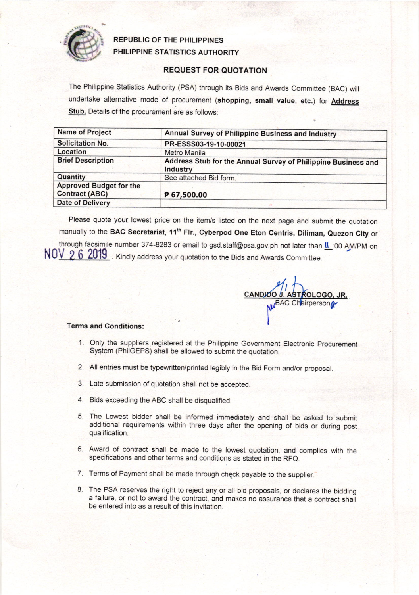

## REPUBLIC OF THE PHILIPPINES PHILIPPINE STATISTICS AUTHORITY

## REOUEST FOR QUOTATION

The Philippine Statistics Authority (PSA) through its Bids and Awards Committee (BAC) will undertake alternative mode of procurement (shopping, small value, etc.) for Address Stub. Details of the procurement are as follows:

| <b>Name of Project</b>                                  | Annual Survey of Philippine Business and Industry<br>PR-ESSS03-19-10-00021 |  |  |  |
|---------------------------------------------------------|----------------------------------------------------------------------------|--|--|--|
| <b>Solicitation No.</b>                                 |                                                                            |  |  |  |
| Location                                                | <b>Metro Manila</b>                                                        |  |  |  |
| <b>Brief Description</b>                                | Address Stub for the Annual Survey of Philippine Business and<br>Industry  |  |  |  |
| Quantity                                                | See attached Bid form.                                                     |  |  |  |
| <b>Approved Budget for the</b><br><b>Contract (ABC)</b> | P 67,500.00                                                                |  |  |  |
| <b>Date of Delivery</b>                                 |                                                                            |  |  |  |

Please quote your lowest price on the item/s listed on the next page and submit the quotation manually to the BAC Secretariat, 11<sup>th</sup> Flr., Cyberpod One Eton Centris, Diliman, Quezon City or through facsimile number 374-8283 or email to gsd.staff@psa.gov.ph not later than **II** :00 AM/PM on NUV 2 6 2019. Kindly address your quotation to the Bids and Awards Committee

<u>NDIDO J. ASTROLOGO, JR.</u> C Chairperson o I

## Terms and Conditions:

- 1. Only the suppliers registered at the Philippine Government Electronic Procurement System (PhilGEPS) shall be allowed to submit the quotation.
- 2. All entries must be typewritten/printed legibly in the Bid Form and/or proposal.
- 3. Late submission of quotation shall not be accepted.
- 4. Bids exceeding the ABC shall be disqualified.
- 5. The Lowest bidder shall be informed immediately and shall be asked to submit additional requirements within three days after the opening of bids or during post qualification.
- 6. Award of contract shall be made to the lowest quotation, and complies with the specifications and other terms and conditions as stated in the RFQ.
- 7. Terms of Payment shall be made through check payable to the supplier.
- 8. The PSA reserves the right to reject any or all bid proposals, or declares the bidding a failure, or not to award the contract, and makes no assurance that a contract shall be entered into as a result of this invitation.